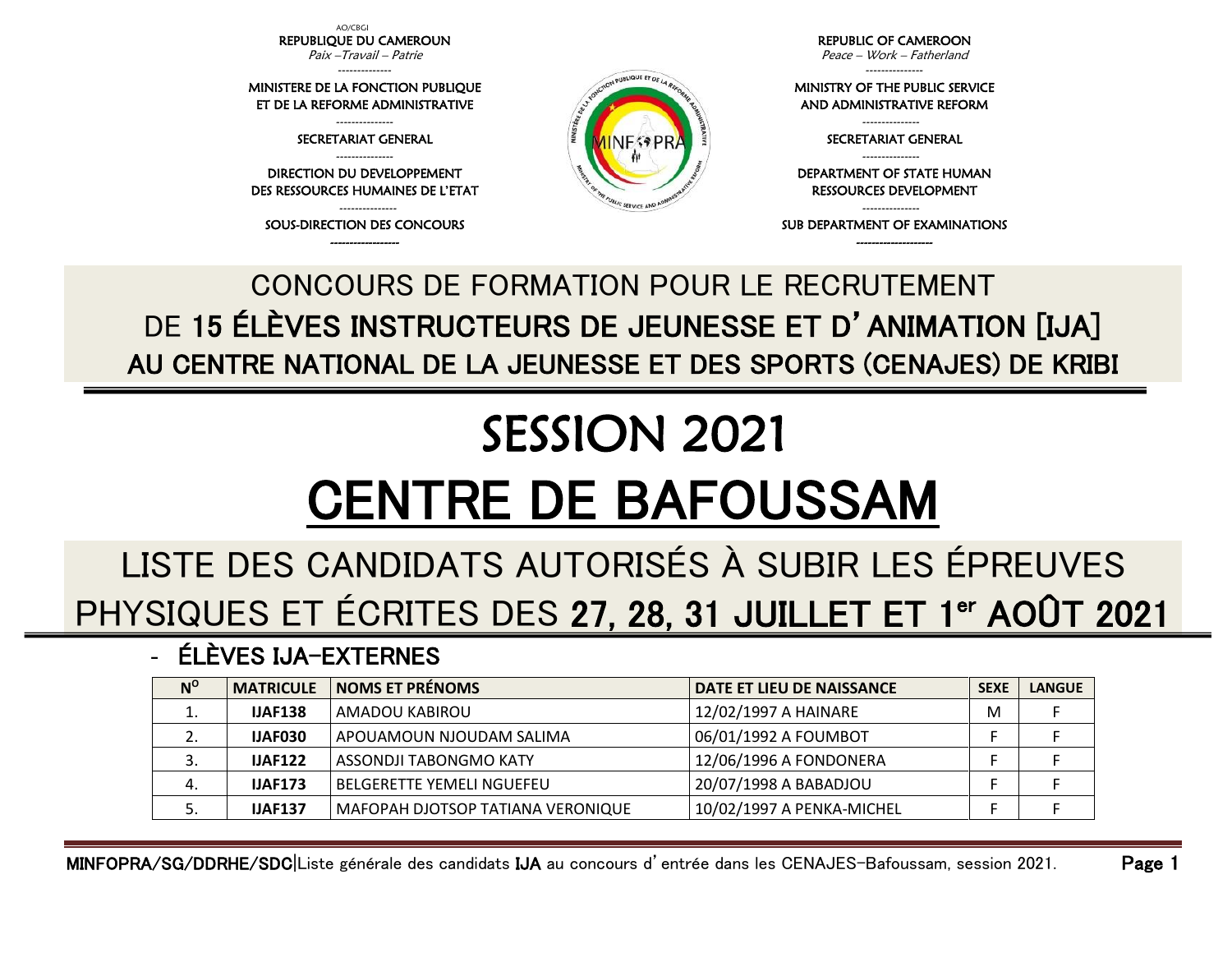AO/CBGI REPUBLIQUE DU CAMEROUN Paix –Travail – Patrie

--------------

MINISTERE DE LA FONCTION PUBLIQUE ET DE LA REFORME ADMINISTRATIVE

> --------------- SECRETARIAT GENERAL ---------------

DIRECTION DU DEVELOPPEMENT DES RESSOURCES HUMAINES DE L'ETAT

--------------- SOUS-DIRECTION DES CONCOURS ------------------

REPUBLIC OF CAMEROON Peace – Work – Fatherland

---------------

MINISTRY OF THE PUBLIC SERVICE AND ADMINISTRATIVE REFORM

SECRETARIAT GENERAL

RESSOURCES DEVELOPMENT

SUB DEPARTMENT OF EXAMINATIONS --------------------

DEPARTMENT OF STATE HUMAN

---------------

---------------

---------------

## MINFOPRA/SG/DDRHE/SDC|Liste générale des candidats IJA au concours d'entrée dans les CENAJES-Bafoussam, session 2021. Page 1

CONCOURS DE FORMATION POUR LE RECRUTEMENT DE 15 ÉLÈVES INSTRUCTEURS DE JEUNESSE ET D'ANIMATION [IJA] AU CENTRE NATIONAL DE LA JEUNESSE ET DES SPORTS (CENAJES) DE KRIBI

## SESSION 2021 CENTRE DE BAFOUSSAM

## LISTE DES CANDIDATS AUTORISÉS À SUBIR LES ÉPREUVES PHYSIQUES ET ÉCRITES DES 27, 28, 31 JUILLET ET 1<sup>er</sup> AOÛT 2021

- ÉLÈVES IJA-EXTERNES

| $N^{\rm o}$ | <b>MATRICULE</b> | <b>NOMS ET PRÉNOMS</b>            | DATE ET LIEU DE NAISSANCE | <b>SEXE</b> | <b>LANGUE</b> |
|-------------|------------------|-----------------------------------|---------------------------|-------------|---------------|
| ᆠ           | <b>IJAF138</b>   | AMADOU KABIROU                    | 12/02/1997 A HAINARE      | M           |               |
|             | <b>IJAF030</b>   | APOUAMOUN NJOUDAM SALIMA          | 06/01/1992 A FOUMBOT      |             |               |
|             | <b>IJAF122</b>   | ASSONDJI TABONGMO KATY            | 12/06/1996 A FONDONERA    |             |               |
| 4.          | <b>IJAF173</b>   | <b>BELGERETTE YEMELI NGUEFEU</b>  | 20/07/1998 A BABADJOU     |             |               |
|             | <b>IJAF137</b>   | MAFOPAH DJOTSOP TATIANA VERONIQUE | 10/02/1997 A PENKA-MICHEL |             |               |